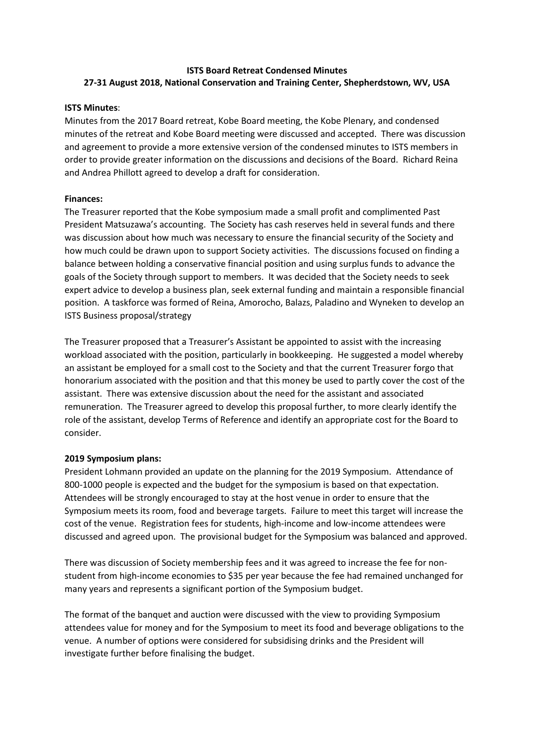# **ISTS Board Retreat Condensed Minutes 27-31 August 2018, National Conservation and Training Center, Shepherdstown, WV, USA**

## **ISTS Minutes**:

Minutes from the 2017 Board retreat, Kobe Board meeting, the Kobe Plenary, and condensed minutes of the retreat and Kobe Board meeting were discussed and accepted. There was discussion and agreement to provide a more extensive version of the condensed minutes to ISTS members in order to provide greater information on the discussions and decisions of the Board. Richard Reina and Andrea Phillott agreed to develop a draft for consideration.

## **Finances:**

The Treasurer reported that the Kobe symposium made a small profit and complimented Past President Matsuzawa's accounting. The Society has cash reserves held in several funds and there was discussion about how much was necessary to ensure the financial security of the Society and how much could be drawn upon to support Society activities. The discussions focused on finding a balance between holding a conservative financial position and using surplus funds to advance the goals of the Society through support to members. It was decided that the Society needs to seek expert advice to develop a business plan, seek external funding and maintain a responsible financial position. A taskforce was formed of Reina, Amorocho, Balazs, Paladino and Wyneken to develop an ISTS Business proposal/strategy

The Treasurer proposed that a Treasurer's Assistant be appointed to assist with the increasing workload associated with the position, particularly in bookkeeping. He suggested a model whereby an assistant be employed for a small cost to the Society and that the current Treasurer forgo that honorarium associated with the position and that this money be used to partly cover the cost of the assistant. There was extensive discussion about the need for the assistant and associated remuneration. The Treasurer agreed to develop this proposal further, to more clearly identify the role of the assistant, develop Terms of Reference and identify an appropriate cost for the Board to consider.

#### **2019 Symposium plans:**

President Lohmann provided an update on the planning for the 2019 Symposium. Attendance of 800-1000 people is expected and the budget for the symposium is based on that expectation. Attendees will be strongly encouraged to stay at the host venue in order to ensure that the Symposium meets its room, food and beverage targets. Failure to meet this target will increase the cost of the venue. Registration fees for students, high-income and low-income attendees were discussed and agreed upon. The provisional budget for the Symposium was balanced and approved.

There was discussion of Society membership fees and it was agreed to increase the fee for nonstudent from high-income economies to \$35 per year because the fee had remained unchanged for many years and represents a significant portion of the Symposium budget.

The format of the banquet and auction were discussed with the view to providing Symposium attendees value for money and for the Symposium to meet its food and beverage obligations to the venue. A number of options were considered for subsidising drinks and the President will investigate further before finalising the budget.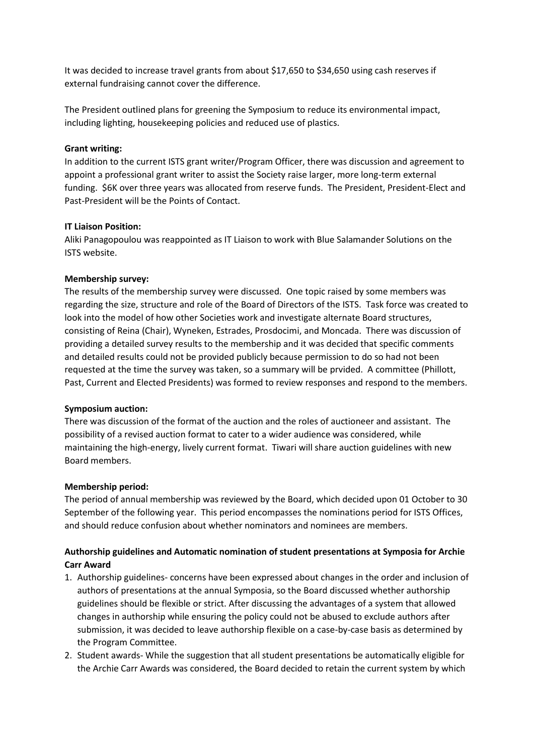It was decided to increase travel grants from about \$17,650 to \$34,650 using cash reserves if external fundraising cannot cover the difference.

The President outlined plans for greening the Symposium to reduce its environmental impact, including lighting, housekeeping policies and reduced use of plastics.

#### **Grant writing:**

In addition to the current ISTS grant writer/Program Officer, there was discussion and agreement to appoint a professional grant writer to assist the Society raise larger, more long-term external funding. \$6K over three years was allocated from reserve funds. The President, President-Elect and Past-President will be the Points of Contact.

#### **IT Liaison Position:**

Aliki Panagopoulou was reappointed as IT Liaison to work with Blue Salamander Solutions on the ISTS website.

## **Membership survey:**

The results of the membership survey were discussed. One topic raised by some members was regarding the size, structure and role of the Board of Directors of the ISTS. Task force was created to look into the model of how other Societies work and investigate alternate Board structures, consisting of Reina (Chair), Wyneken, Estrades, Prosdocimi, and Moncada. There was discussion of providing a detailed survey results to the membership and it was decided that specific comments and detailed results could not be provided publicly because permission to do so had not been requested at the time the survey was taken, so a summary will be prvided. A committee (Phillott, Past, Current and Elected Presidents) was formed to review responses and respond to the members.

#### **Symposium auction:**

There was discussion of the format of the auction and the roles of auctioneer and assistant. The possibility of a revised auction format to cater to a wider audience was considered, while maintaining the high-energy, lively current format. Tiwari will share auction guidelines with new Board members.

#### **Membership period:**

The period of annual membership was reviewed by the Board, which decided upon 01 October to 30 September of the following year. This period encompasses the nominations period for ISTS Offices, and should reduce confusion about whether nominators and nominees are members.

# **Authorship guidelines and Automatic nomination of student presentations at Symposia for Archie Carr Award**

- 1. Authorship guidelines- concerns have been expressed about changes in the order and inclusion of authors of presentations at the annual Symposia, so the Board discussed whether authorship guidelines should be flexible or strict. After discussing the advantages of a system that allowed changes in authorship while ensuring the policy could not be abused to exclude authors after submission, it was decided to leave authorship flexible on a case-by-case basis as determined by the Program Committee.
- 2. Student awards- While the suggestion that all student presentations be automatically eligible for the Archie Carr Awards was considered, the Board decided to retain the current system by which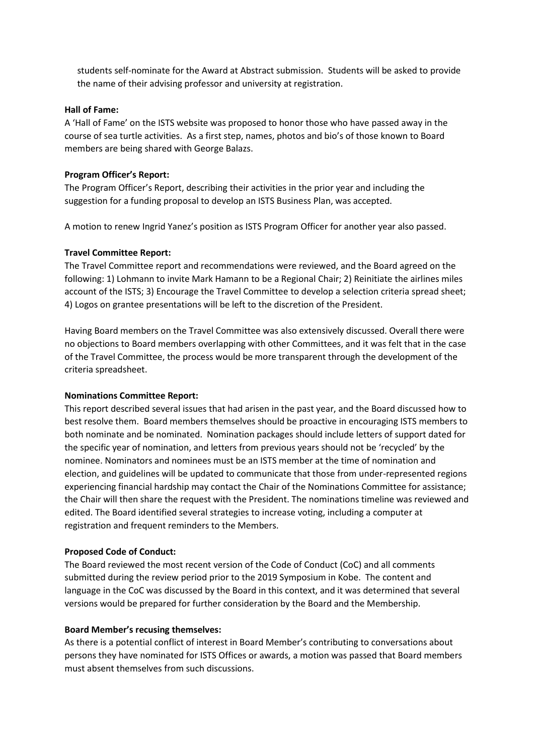students self-nominate for the Award at Abstract submission. Students will be asked to provide the name of their advising professor and university at registration.

#### **Hall of Fame:**

A 'Hall of Fame' on the ISTS website was proposed to honor those who have passed away in the course of sea turtle activities. As a first step, names, photos and bio's of those known to Board members are being shared with George Balazs.

## **Program Officer's Report:**

The Program Officer's Report, describing their activities in the prior year and including the suggestion for a funding proposal to develop an ISTS Business Plan, was accepted.

A motion to renew Ingrid Yanez's position as ISTS Program Officer for another year also passed.

## **Travel Committee Report:**

The Travel Committee report and recommendations were reviewed, and the Board agreed on the following: 1) Lohmann to invite Mark Hamann to be a Regional Chair; 2) Reinitiate the airlines miles account of the ISTS; 3) Encourage the Travel Committee to develop a selection criteria spread sheet; 4) Logos on grantee presentations will be left to the discretion of the President.

Having Board members on the Travel Committee was also extensively discussed. Overall there were no objections to Board members overlapping with other Committees, and it was felt that in the case of the Travel Committee, the process would be more transparent through the development of the criteria spreadsheet.

#### **Nominations Committee Report:**

This report described several issues that had arisen in the past year, and the Board discussed how to best resolve them. Board members themselves should be proactive in encouraging ISTS members to both nominate and be nominated. Nomination packages should include letters of support dated for the specific year of nomination, and letters from previous years should not be 'recycled' by the nominee. Nominators and nominees must be an ISTS member at the time of nomination and election, and guidelines will be updated to communicate that those from under-represented regions experiencing financial hardship may contact the Chair of the Nominations Committee for assistance; the Chair will then share the request with the President. The nominations timeline was reviewed and edited. The Board identified several strategies to increase voting, including a computer at registration and frequent reminders to the Members.

## **Proposed Code of Conduct:**

The Board reviewed the most recent version of the Code of Conduct (CoC) and all comments submitted during the review period prior to the 2019 Symposium in Kobe. The content and language in the CoC was discussed by the Board in this context, and it was determined that several versions would be prepared for further consideration by the Board and the Membership.

## **Board Member's recusing themselves:**

As there is a potential conflict of interest in Board Member's contributing to conversations about persons they have nominated for ISTS Offices or awards, a motion was passed that Board members must absent themselves from such discussions.